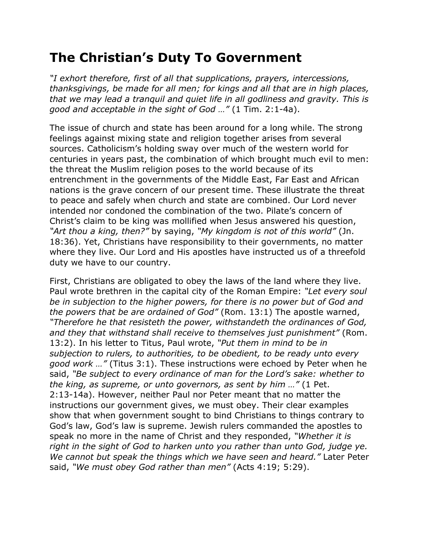## **The Christian's Duty To Government**

*"I exhort therefore, first of all that supplications, prayers, intercessions, thanksgivings, be made for all men; for kings and all that are in high places, that we may lead a tranquil and quiet life in all godliness and gravity. This is good and acceptable in the sight of God …"* (1 Tim. 2:1-4a).

The issue of church and state has been around for a long while. The strong feelings against mixing state and religion together arises from several sources. Catholicism's holding sway over much of the western world for centuries in years past, the combination of which brought much evil to men: the threat the Muslim religion poses to the world because of its entrenchment in the governments of the Middle East, Far East and African nations is the grave concern of our present time. These illustrate the threat to peace and safely when church and state are combined. Our Lord never intended nor condoned the combination of the two. Pilate's concern of Christ's claim to be king was mollified when Jesus answered his question, *"Art thou a king, then?"* by saying, *"My kingdom is not of this world"* (Jn. 18:36). Yet, Christians have responsibility to their governments, no matter where they live. Our Lord and His apostles have instructed us of a threefold duty we have to our country.

First, Christians are obligated to obey the laws of the land where they live. Paul wrote brethren in the capital city of the Roman Empire: *"Let every soul be in subjection to the higher powers, for there is no power but of God and the powers that be are ordained of God"* (Rom. 13:1) The apostle warned, *"Therefore he that resisteth the power, withstandeth the ordinances of God, and they that withstand shall receive to themselves just punishment"* (Rom. 13:2). In his letter to Titus, Paul wrote, *"Put them in mind to be in subjection to rulers, to authorities, to be obedient, to be ready unto every good work …"* (Titus 3:1). These instructions were echoed by Peter when he said, *"Be subject to every ordinance of man for the Lord's sake: whether to the king, as supreme, or unto governors, as sent by him …"* (1 Pet. 2:13-14a). However, neither Paul nor Peter meant that no matter the instructions our government gives, we must obey. Their clear examples show that when government sought to bind Christians to things contrary to God's law, God's law is supreme. Jewish rulers commanded the apostles to speak no more in the name of Christ and they responded, *"Whether it is right in the sight of God to harken unto you rather than unto God, judge ye. We cannot but speak the things which we have seen and heard."* Later Peter said, *"We must obey God rather than men"* (Acts 4:19; 5:29).